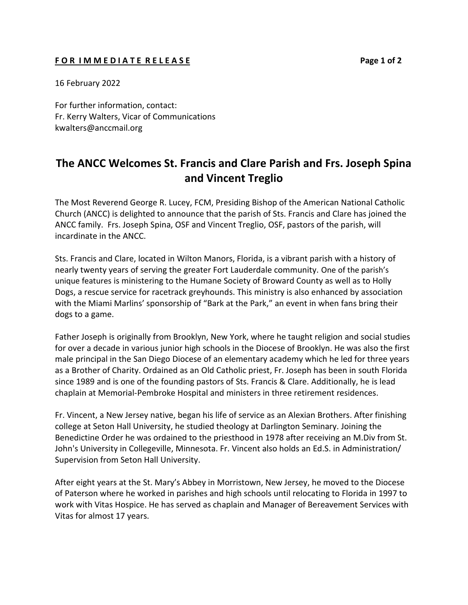## F O R I M M E D I A T E R E L E A S E **Page 1 of 2**

16 February 2022

For further information, contact: Fr. Kerry Walters, Vicar of Communications kwalters@anccmail.org

## **The ANCC Welcomes St. Francis and Clare Parish and Frs. Joseph Spina and Vincent Treglio**

The Most Reverend George R. Lucey, FCM, Presiding Bishop of the American National Catholic Church (ANCC) is delighted to announce that the parish of Sts. Francis and Clare has joined the ANCC family. Frs. Joseph Spina, OSF and Vincent Treglio, OSF, pastors of the parish, will incardinate in the ANCC.

Sts. Francis and Clare, located in Wilton Manors, Florida, is a vibrant parish with a history of nearly twenty years of serving the greater Fort Lauderdale community. One of the parish's unique features is ministering to the Humane Society of Broward County as well as to Holly Dogs, a rescue service for racetrack greyhounds. This ministry is also enhanced by association with the Miami Marlins' sponsorship of "Bark at the Park," an event in when fans bring their dogs to a game.

Father Joseph is originally from Brooklyn, New York, where he taught religion and social studies for over a decade in various junior high schools in the Diocese of Brooklyn. He was also the first male principal in the San Diego Diocese of an elementary academy which he led for three years as a Brother of Charity. Ordained as an Old Catholic priest, Fr. Joseph has been in south Florida since 1989 and is one of the founding pastors of Sts. Francis & Clare. Additionally, he is lead chaplain at Memorial-Pembroke Hospital and ministers in three retirement residences.

Fr. Vincent, a New Jersey native, began his life of service as an Alexian Brothers. After finishing college at Seton Hall University, he studied theology at Darlington Seminary. Joining the Benedictine Order he was ordained to the priesthood in 1978 after receiving an M.Div from St. John's University in Collegeville, Minnesota. Fr. Vincent also holds an Ed.S. in Administration/ Supervision from Seton Hall University.

After eight years at the St. Mary's Abbey in Morristown, New Jersey, he moved to the Diocese of Paterson where he worked in parishes and high schools until relocating to Florida in 1997 to work with Vitas Hospice. He has served as chaplain and Manager of Bereavement Services with Vitas for almost 17 years.